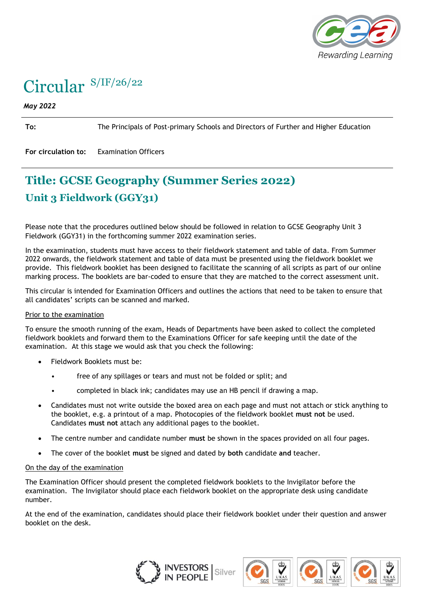

# Circular S/IF/26/22

#### *May 2022*

**To:** The Principals of Post-primary Schools and Directors of Further and Higher Education

**For circulation to:** Examination Officers

## **Title: GCSE Geography (Summer Series 2022) Unit 3 Fieldwork (GGY31)**

Please note that the procedures outlined below should be followed in relation to GCSE Geography Unit 3 Fieldwork (GGY31) in the forthcoming summer 2022 examination series.

In the examination, students must have access to their fieldwork statement and table of data. From Summer 2022 onwards, the fieldwork statement and table of data must be presented using the fieldwork booklet we provide. This fieldwork booklet has been designed to facilitate the scanning of all scripts as part of our online marking process. The booklets are bar-coded to ensure that they are matched to the correct assessment unit.

This circular is intended for Examination Officers and outlines the actions that need to be taken to ensure that all candidates' scripts can be scanned and marked.

#### Prior to the examination

To ensure the smooth running of the exam, Heads of Departments have been asked to collect the completed fieldwork booklets and forward them to the Examinations Officer for safe keeping until the date of the examination. At this stage we would ask that you check the following:

- Fieldwork Booklets must be:
	- free of any spillages or tears and must not be folded or split; and
	- completed in black ink; candidates may use an HB pencil if drawing a map.
- Candidates must not write outside the boxed area on each page and must not attach or stick anything to the booklet, e.g. a printout of a map. Photocopies of the fieldwork booklet **must not** be used. Candidates **must not** attach any additional pages to the booklet.
- The centre number and candidate number **must** be shown in the spaces provided on all four pages.
- The cover of the booklet **must** be signed and dated by **both** candidate **and** teacher.

#### On the day of the examination

The Examination Officer should present the completed fieldwork booklets to the Invigilator before the examination. The Invigilator should place each fieldwork booklet on the appropriate desk using candidate number.

At the end of the examination, candidates should place their fieldwork booklet under their question and answer booklet on the desk.